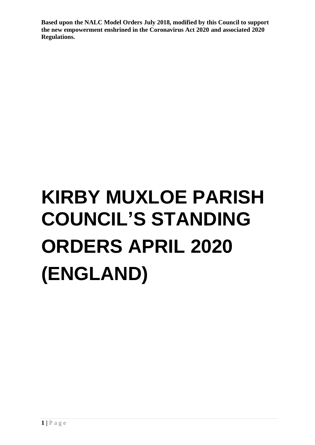# **KIRBY MUXLOE PARISH COUNCIL'S STANDING ORDERS APRIL 2020 (ENGLAND)**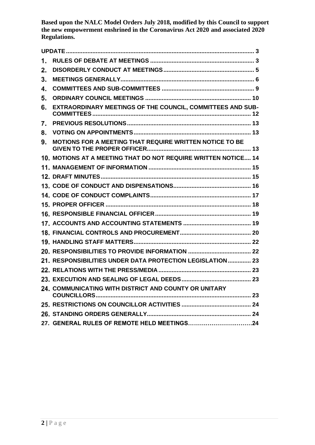| 1. |                                                                |  |
|----|----------------------------------------------------------------|--|
| 2. |                                                                |  |
| 3. |                                                                |  |
| 4. |                                                                |  |
| 5. |                                                                |  |
| 6. | EXTRAORDINARY MEETINGS OF THE COUNCIL, COMMITTEES AND SUB-     |  |
| 7. |                                                                |  |
| 8. |                                                                |  |
| 9. | MOTIONS FOR A MEETING THAT REQUIRE WRITTEN NOTICE TO BE        |  |
|    | 10. MOTIONS AT A MEETING THAT DO NOT REQUIRE WRITTEN NOTICE 14 |  |
|    |                                                                |  |
|    |                                                                |  |
|    |                                                                |  |
|    |                                                                |  |
|    |                                                                |  |
|    |                                                                |  |
|    |                                                                |  |
|    |                                                                |  |
|    |                                                                |  |
|    |                                                                |  |
|    | 21. RESPONSIBILITIES UNDER DATA PROTECTION LEGISLATION 23      |  |
|    |                                                                |  |
|    |                                                                |  |
|    | 24. COMMUNICATING WITH DISTRICT AND COUNTY OR UNITARY          |  |
|    |                                                                |  |
|    |                                                                |  |
|    |                                                                |  |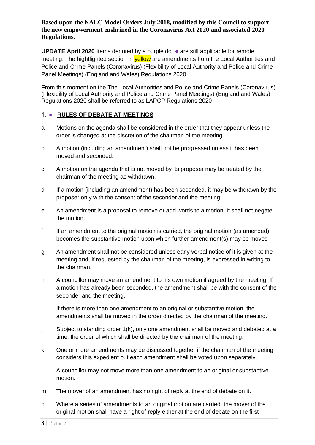**UPDATE April 2020** Items denoted by a purple dot ● are still applicable for remote meeting. The hightlighted section in **yellow** are amendments from the Local Authorities and Police and Crime Panels (Coronavirus) (Flexibility of Local Authority and Police and Crime Panel Meetings) (England and Wales) Regulations 2020

From this moment on the The Local Authorities and Police and Crime Panels (Coronavirus) (Flexibility of Local Authority and Police and Crime Panel Meetings) (England and Wales) Regulations 2020 shall be referred to as LAPCP Regulations 2020

# <span id="page-2-0"></span>1. • RULES OF DEBATE AT MEETINGS

- a Motions on the agenda shall be considered in the order that they appear unless the order is changed at the discretion of the chairman of the meeting.
- b A motion (including an amendment) shall not be progressed unless it has been moved and seconded.
- c A motion on the agenda that is not moved by its proposer may be treated by the chairman of the meeting as withdrawn.
- d If a motion (including an amendment) has been seconded, it may be withdrawn by the proposer only with the consent of the seconder and the meeting.
- e An amendment is a proposal to remove or add words to a motion. It shall not negate the motion.
- f If an amendment to the original motion is carried, the original motion (as amended) becomes the substantive motion upon which further amendment(s) may be moved.
- g An amendment shall not be considered unless early verbal notice of it is given at the meeting and, if requested by the chairman of the meeting, is expressed in writing to the chairman.
- h A councillor may move an amendment to his own motion if agreed by the meeting. If a motion has already been seconded, the amendment shall be with the consent of the seconder and the meeting.
- i If there is more than one amendment to an original or substantive motion, the amendments shall be moved in the order directed by the chairman of the meeting.
- j Subject to standing order 1(k), only one amendment shall be moved and debated at a time, the order of which shall be directed by the chairman of the meeting.
- k One or more amendments may be discussed together if the chairman of the meeting considers this expedient but each amendment shall be voted upon separately.
- l A councillor may not move more than one amendment to an original or substantive motion.
- m The mover of an amendment has no right of reply at the end of debate on it.
- n Where a series of amendments to an original motion are carried, the mover of the original motion shall have a right of reply either at the end of debate on the first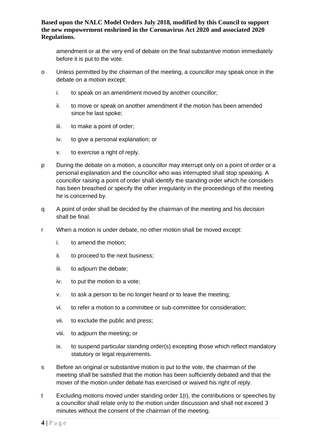amendment or at the very end of debate on the final substantive motion immediately before it is put to the vote.

- o Unless permitted by the chairman of the meeting, a councillor may speak once in the debate on a motion except:
	- i. to speak on an amendment moved by another councillor;
	- ii. to move or speak on another amendment if the motion has been amended since he last spoke;
	- iii. to make a point of order;
	- iv. to give a personal explanation; or
	- v. to exercise a right of reply.
- p During the debate on a motion, a councillor may interrupt only on a point of order or a personal explanation and the councillor who was interrupted shall stop speaking. A councillor raising a point of order shall identify the standing order which he considers has been breached or specify the other irregularity in the proceedings of the meeting he is concerned by.
- q A point of order shall be decided by the chairman of the meeting and his decision shall be final.
- r When a motion is under debate, no other motion shall be moved except:
	- i. to amend the motion;
	- ii. to proceed to the next business;
	- iii. to adjourn the debate;
	- iv. to put the motion to a vote;
	- v. to ask a person to be no longer heard or to leave the meeting;
	- vi. to refer a motion to a committee or sub-committee for consideration;
	- vii. to exclude the public and press;
	- viii. to adjourn the meeting; or
	- ix. to suspend particular standing order(s) excepting those which reflect mandatory statutory or legal requirements.
- s Before an original or substantive motion is put to the vote, the chairman of the meeting shall be satisfied that the motion has been sufficiently debated and that the mover of the motion under debate has exercised or waived his right of reply.
- t Excluding motions moved under standing order 1(r), the contributions or speeches by a councillor shall relate only to the motion under discussion and shall not exceed 3 minutes without the consent of the chairman of the meeting.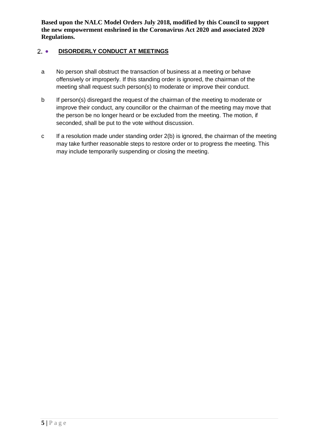# <span id="page-4-0"></span>2. • DISORDERLY CONDUCT AT MEETINGS

- a No person shall obstruct the transaction of business at a meeting or behave offensively or improperly. If this standing order is ignored, the chairman of the meeting shall request such person(s) to moderate or improve their conduct.
- b If person(s) disregard the request of the chairman of the meeting to moderate or improve their conduct, any councillor or the chairman of the meeting may move that the person be no longer heard or be excluded from the meeting. The motion, if seconded, shall be put to the vote without discussion.
- c If a resolution made under standing order 2(b) is ignored, the chairman of the meeting may take further reasonable steps to restore order or to progress the meeting. This may include temporarily suspending or closing the meeting.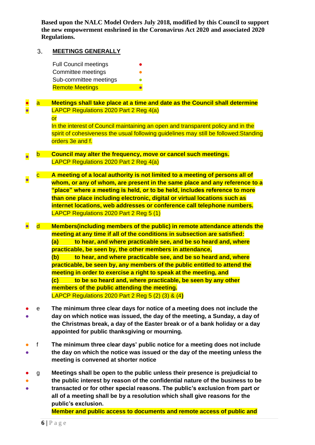#### <span id="page-5-0"></span>3. **MEETINGS GENERALLY**

| <b>Full Council meetings</b> | ● |
|------------------------------|---|
| Committee meetings           | n |
| Sub-committee meetings       |   |
| <b>Remote Meetings</b>       |   |

#### ● ● a **Meetings shall take place at a time and date as the Council shall determine**  LAPCP Regulations 2020 Part 2 Reg 4(a)

or In the interest of Council maintaining an open and transparent policy and in the spirit of cohesiveness the usual following guidelines may still be followed: Standing

orders 3e and f.

- b **Council may alter the frequency, move or cancel such meetings.** LAPCP Regulations 2020 Part 2 Reg 4(a)
- c **A meeting of a local authority is not limited to a meeting of persons all of whom, or any of whom, are present in the same place and any reference to a "place" where a meeting is held, or to be held, includes reference to more than one place including electronic, digital or virtual locations such as internet locations, web addresses or conference call telephone numbers.** LAPCP Regulations 2020 Part 2 Reg 5 (1)
- d **Members(including members of the public) in remote attendance attends the meeting at any time if all of the conditions in subsection are satisfied: (a) to hear, and where practicable see, and be so heard and, where practicable, be seen by, the other members in attendance, (b) to hear, and where practicable see, and be so heard and, where practicable, be seen by, any members of the public entitled to attend the meeting in order to exercise a right to speak at the meeting, and (c) to be so heard and, where practicable, be seen by any other members of the public attending the meeting.** LAPCP Regulations 2020 Part 2 Reg 5 (2) (3) & (4**)**
- ● e **The minimum three clear days for notice of a meeting does not include the day on which notice was issued, the day of the meeting, a Sunday, a day of the Christmas break, a day of the Easter break or of a bank holiday or a day appointed for public thanksgiving or mourning.**
- ● f **The minimum three clear days' public notice for a meeting does not include the day on which the notice was issued or the day of the meeting unless the meeting is convened at shorter notice**
- g **Meetings shall be open to the public unless their presence is prejudicial to**
- **the public interest by reason of the confidential nature of the business to be**
- **transacted or for other special reasons. The public's exclusion from part or all of a meeting shall be by a resolution which shall give reasons for the public's exclusion.**

**Member and public access to documents and remote access of public and**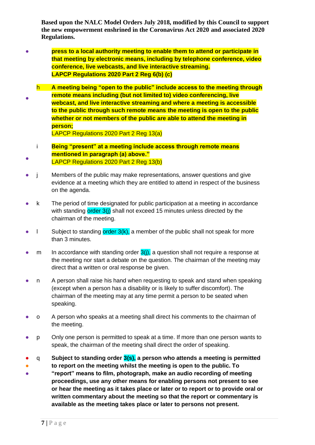- **press to a local authority meeting to enable them to attend or participate in that meeting by electronic means, including by telephone conference, video conference, live webcasts, and live interactive streaming. LAPCP Regulations 2020 Part 2 Reg 6(b) (c)**
- h **A meeting being "open to the public" include access to the meeting through remote means including (but not limited to) video conferencing, live webcast, and live interactive streaming and where a meeting is accessible to the public through such remote means the meeting is open to the public whether or not members of the public are able to attend the meeting in person;**

LAPCP Regulations 2020 Part 2 Reg 13(a)

- i **Being "present" at a meeting include access through remote means mentioned in paragraph (a) above."** LAPCP Regulations 2020 Part 2 Reg 13(b)
- j Members of the public may make representations, answer questions and give evidence at a meeting which they are entitled to attend in respect of the business on the agenda.
- k The period of time designated for public participation at a meeting in accordance with standing order 3(j) shall not exceed 15 minutes unless directed by the chairman of the meeting.
- $\bullet$  l Subject to standing order  $3(k)$ , a member of the public shall not speak for more than 3 minutes.
- m In accordance with standing order  $3(i)$ , a question shall not require a response at the meeting nor start a debate on the question. The chairman of the meeting may direct that a written or oral response be given.
- n A person shall raise his hand when requesting to speak and stand when speaking (except when a person has a disability or is likely to suffer discomfort). The chairman of the meeting may at any time permit a person to be seated when speaking.
- o A person who speaks at a meeting shall direct his comments to the chairman of the meeting.
- p Only one person is permitted to speak at a time. If more than one person wants to speak, the chairman of the meeting shall direct the order of speaking.
- q **Subject to standing order 3(s), a person who attends a meeting is permitted**
- **to report on the meeting whilst the meeting is open to the public. To**
- **"report" means to film, photograph, make an audio recording of meeting proceedings, use any other means for enabling persons not present to see or hear the meeting as it takes place or later or to report or to provide oral or written commentary about the meeting so that the report or commentary is available as the meeting takes place or later to persons not present.**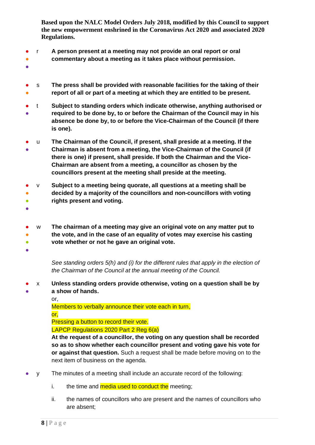- r **A person present at a meeting may not provide an oral report or oral**
- **commentary about a meeting as it takes place without permission.**
- ●
- ● s **The press shall be provided with reasonable facilities for the taking of their report of all or part of a meeting at which they are entitled to be present.**
- ● t **Subject to standing orders which indicate otherwise, anything authorised or required to be done by, to or before the Chairman of the Council may in his absence be done by, to or before the Vice-Chairman of the Council (if there is one).**
- ● u **The Chairman of the Council, if present, shall preside at a meeting. If the Chairman is absent from a meeting, the Vice-Chairman of the Council (if there is one) if present, shall preside. If both the Chairman and the Vice-Chairman are absent from a meeting, a councillor as chosen by the councillors present at the meeting shall preside at the meeting.**
- v **Subject to a meeting being quorate, all questions at a meeting shall be**
- ● **decided by a majority of the councillors and non-councillors with voting rights present and voting.**
- ●

●  $\bullet$  $\bullet$ w **The chairman of a meeting may give an original vote on any matter put to the vote, and in the case of an equality of votes may exercise his casting vote whether or not he gave an original vote.**

 $\bullet$ 

*See standing orders 5(h) and (i) for the different rules that apply in the election of the Chairman of the Council at the annual meeting of the Council.*

- ● x **Unless standing orders provide otherwise, voting on a question shall be by a show of hands.**
	-

or,

Members to verbally announce their vote each in turn, or,

Pressing a button to record their vote.

LAPCP Regulations 2020 Part 2 Reg 6(a)

**At the request of a councillor, the voting on any question shall be recorded so as to show whether each councillor present and voting gave his vote for or against that question.** Such a request shall be made before moving on to the next item of business on the agenda.

- y The minutes of a meeting shall include an accurate record of the following:
	- i. the time and  $median$  used to conduct the meeting;
	- ii. the names of councillors who are present and the names of councillors who are absent;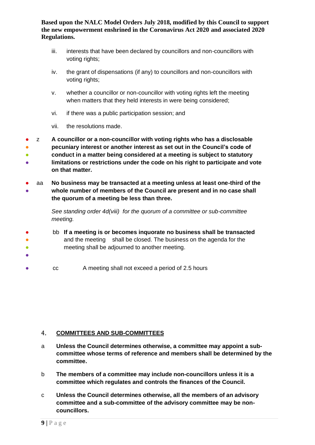- iii. interests that have been declared by councillors and non-councillors with voting rights;
- iv. the grant of dispensations (if any) to councillors and non-councillors with voting rights;
- v. whether a councillor or non-councillor with voting rights left the meeting when matters that they held interests in were being considered;
- vi. if there was a public participation session; and
- vii. the resolutions made.

● ● ● ● z **A councillor or a non-councillor with voting rights who has a disclosable pecuniary interest or another interest as set out in the Council's code of conduct in a matter being considered at a meeting is subject to statutory limitations or restrictions under the code on his right to participate and vote on that matter.**

● ● aa **No business may be transacted at a meeting unless at least one-third of the whole number of members of the Council are present and in no case shall the quorum of a meeting be less than three.**

> *See standing order 4d(viii) for the quorum of a committee or sub-committee meeting.*

- ● ● bb **If a meeting is or becomes inquorate no business shall be transacted** and the meeting shall be closed. The business on the agenda for the meeting shall be adjourned to another meeting.
- cc A meeting shall not exceed a period of 2.5 hours

#### <span id="page-8-0"></span> $4.$ **COMMITTEES AND SUB-COMMITTEES**

- a **Unless the Council determines otherwise, a committee may appoint a subcommittee whose terms of reference and members shall be determined by the committee.**
- b **The members of a committee may include non-councillors unless it is a committee which regulates and controls the finances of the Council.**
- c **Unless the Council determines otherwise, all the members of an advisory committee and a sub-committee of the advisory committee may be noncouncillors.**

●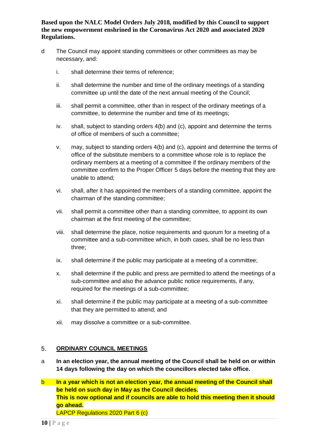- d The Council may appoint standing committees or other committees as may be necessary, and:
	- i. shall determine their terms of reference;
	- ii. shall determine the number and time of the ordinary meetings of a standing committee up until the date of the next annual meeting of the Council;
	- iii. shall permit a committee, other than in respect of the ordinary meetings of a committee, to determine the number and time of its meetings;
	- iv. shall, subject to standing orders 4(b) and (c), appoint and determine the terms of office of members of such a committee;
	- v. may, subject to standing orders 4(b) and (c), appoint and determine the terms of office of the substitute members to a committee whose role is to replace the ordinary members at a meeting of a committee if the ordinary members of the committee confirm to the Proper Officer 5 days before the meeting that they are unable to attend;
	- vi. shall, after it has appointed the members of a standing committee, appoint the chairman of the standing committee;
	- vii. shall permit a committee other than a standing committee, to appoint its own chairman at the first meeting of the committee;
	- viii. shall determine the place, notice requirements and quorum for a meeting of a committee and a sub-committee which, in both cases, shall be no less than three;
	- ix. shall determine if the public may participate at a meeting of a committee;
	- x. shall determine if the public and press are permitted to attend the meetings of a sub-committee and also the advance public notice requirements, if any, required for the meetings of a sub-committee;
	- xi. shall determine if the public may participate at a meeting of a sub-committee that they are permitted to attend; and
	- xii. may dissolve a committee or a sub-committee.

#### <span id="page-9-0"></span>5. **ORDINARY COUNCIL MEETINGS**

- a **In an election year, the annual meeting of the Council shall be held on or within 14 days following the day on which the councillors elected take office.**
- b **In a year which is not an election year, the annual meeting of the Council shall be held on such day in May as the Council decides. This is now optional and if councils are able to hold this meeting then it should go ahead.** LAPCP Regulations 2020 Part 6 (c)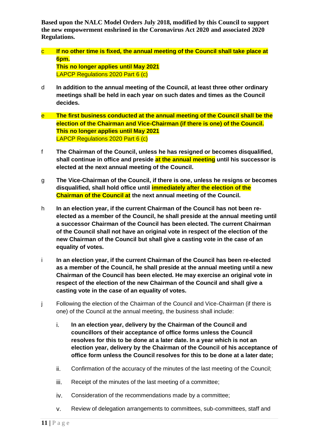- c **If no other time is fixed, the annual meeting of the Council shall take place at 6pm. This no longer applies until May 2021** LAPCP Regulations 2020 Part 6 (c)
- d **In addition to the annual meeting of the Council, at least three other ordinary meetings shall be held in each year on such dates and times as the Council decides.**
- e **The first business conducted at the annual meeting of the Council shall be the election of the Chairman and Vice-Chairman (if there is one) of the Council. This no longer applies until May 2021** LAPCP Regulations 2020 Part 6 (c)
- f **The Chairman of the Council, unless he has resigned or becomes disqualified, shall continue in office and preside at the annual meeting until his successor is elected at the next annual meeting of the Council.**
- g **The Vice-Chairman of the Council, if there is one, unless he resigns or becomes disqualified, shall hold office until immediately after the election of the Chairman of the Council at the next annual meeting of the Council.**
- h **In an election year, if the current Chairman of the Council has not been reelected as a member of the Council, he shall preside at the annual meeting until a successor Chairman of the Council has been elected. The current Chairman of the Council shall not have an original vote in respect of the election of the new Chairman of the Council but shall give a casting vote in the case of an equality of votes.**
- i **In an election year, if the current Chairman of the Council has been re-elected as a member of the Council, he shall preside at the annual meeting until a new Chairman of the Council has been elected. He may exercise an original vote in respect of the election of the new Chairman of the Council and shall give a casting vote in the case of an equality of votes.**
- j Following the election of the Chairman of the Council and Vice-Chairman (if there is one) of the Council at the annual meeting, the business shall include:
	- i. **In an election year, delivery by the Chairman of the Council and councillors of their acceptance of office forms unless the Council resolves for this to be done at a later date. In a year which is not an election year, delivery by the Chairman of the Council of his acceptance of office form unless the Council resolves for this to be done at a later date;**
	- ii. Confirmation of the accuracy of the minutes of the last meeting of the Council;
	- iii. Receipt of the minutes of the last meeting of a committee;
	- iv. Consideration of the recommendations made by a committee;
	- v. Review of delegation arrangements to committees, sub-committees, staff and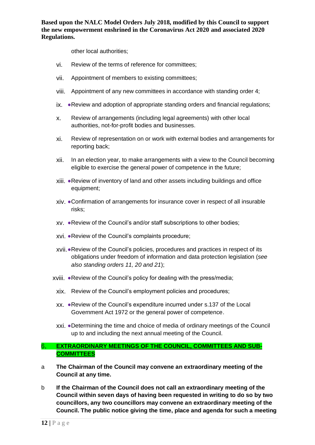other local authorities;

- vi. Review of the terms of reference for committees;
- vii. Appointment of members to existing committees;
- viii. Appointment of any new committees in accordance with standing order 4;
- ix. ●Review and adoption of appropriate standing orders and financial regulations;
- x. Review of arrangements (including legal agreements) with other local authorities, not-for-profit bodies and businesses.
- xi. Review of representation on or work with external bodies and arrangements for reporting back;
- xii. In an election year, to make arrangements with a view to the Council becoming eligible to exercise the general power of competence in the future;
- xiii. ●Review of inventory of land and other assets including buildings and office equipment;
- xiv. ●Confirmation of arrangements for insurance cover in respect of all insurable risks;
- xv. ●Review of the Council's and/or staff subscriptions to other bodies;
- xvi. ●Review of the Council's complaints procedure;
- xvii.●Review of the Council's policies, procedures and practices in respect of its obligations under freedom of information and data protection legislation (*see also standing orders 11, 20 and 21*);
- xviii. ●Review of the Council's policy for dealing with the press/media;
	- xix. Review of the Council's employment policies and procedures;
	- xx. ●Review of the Council's expenditure incurred under s.137 of the Local Government Act 1972 or the general power of competence.
	- xxi. ●Determining the time and choice of media of ordinary meetings of the Council up to and including the next annual meeting of the Council.

#### <span id="page-11-0"></span> $6.$ **EXTRAORDINARY MEETINGS OF THE COUNCIL, COMMITTEES AND SUB-COMMITTEES**

- a **The Chairman of the Council may convene an extraordinary meeting of the Council at any time.**
- b **If the Chairman of the Council does not call an extraordinary meeting of the Council within seven days of having been requested in writing to do so by two councillors, any two councillors may convene an extraordinary meeting of the Council. The public notice giving the time, place and agenda for such a meeting**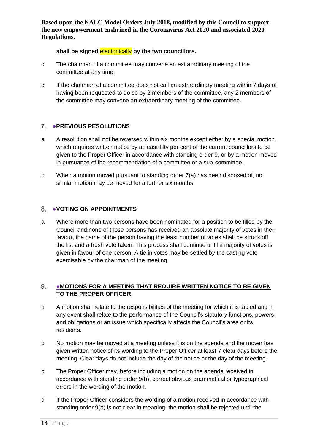#### shall be signed electonically by the two councillors.

- c The chairman of a committee may convene an extraordinary meeting of the committee at any time.
- d If the chairman of a committee does not call an extraordinary meeting within 7 days of having been requested to do so by 2 members of the committee, any 2 members of the committee may convene an extraordinary meeting of the committee.

## <span id="page-12-0"></span>●**PREVIOUS RESOLUTIONS**

- a A resolution shall not be reversed within six months except either by a special motion, which requires written notice by at least fifty per cent of the current councillors to be given to the Proper Officer in accordance with standing order 9, or by a motion moved in pursuance of the recommendation of a committee or a sub-committee.
- b When a motion moved pursuant to standing order 7(a) has been disposed of, no similar motion may be moved for a further six months.

#### <span id="page-12-1"></span>8. ●**VOTING ON APPOINTMENTS**

a Where more than two persons have been nominated for a position to be filled by the Council and none of those persons has received an absolute majority of votes in their favour, the name of the person having the least number of votes shall be struck off the list and a fresh vote taken. This process shall continue until a majority of votes is given in favour of one person. A tie in votes may be settled by the casting vote exercisable by the chairman of the meeting.

#### <span id="page-12-2"></span>●**MOTIONS FOR A MEETING THAT REQUIRE WRITTEN NOTICE TO BE GIVEN**  9. **TO THE PROPER OFFICER**

- a A motion shall relate to the responsibilities of the meeting for which it is tabled and in any event shall relate to the performance of the Council's statutory functions, powers and obligations or an issue which specifically affects the Council's area or its residents.
- b No motion may be moved at a meeting unless it is on the agenda and the mover has given written notice of its wording to the Proper Officer at least 7 clear days before the meeting. Clear days do not include the day of the notice or the day of the meeting.
- c The Proper Officer may, before including a motion on the agenda received in accordance with standing order 9(b), correct obvious grammatical or typographical errors in the wording of the motion.
- d If the Proper Officer considers the wording of a motion received in accordance with standing order 9(b) is not clear in meaning, the motion shall be rejected until the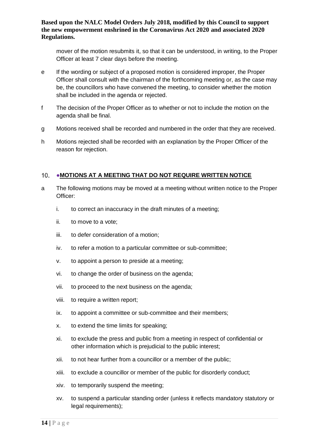mover of the motion resubmits it, so that it can be understood, in writing, to the Proper Officer at least 7 clear days before the meeting.

- e If the wording or subject of a proposed motion is considered improper, the Proper Officer shall consult with the chairman of the forthcoming meeting or, as the case may be, the councillors who have convened the meeting, to consider whether the motion shall be included in the agenda or rejected.
- f The decision of the Proper Officer as to whether or not to include the motion on the agenda shall be final.
- g Motions received shall be recorded and numbered in the order that they are received.
- h Motions rejected shall be recorded with an explanation by the Proper Officer of the reason for rejection.

#### <span id="page-13-0"></span>10. • MOTIONS AT A MEETING THAT DO NOT REQUIRE WRITTEN NOTICE

- a The following motions may be moved at a meeting without written notice to the Proper Officer:
	- i. to correct an inaccuracy in the draft minutes of a meeting;
	- ii. to move to a vote;
	- iii. to defer consideration of a motion;
	- iv. to refer a motion to a particular committee or sub-committee;
	- v. to appoint a person to preside at a meeting;
	- vi. to change the order of business on the agenda;
	- vii. to proceed to the next business on the agenda;
	- viii. to require a written report;
	- ix. to appoint a committee or sub-committee and their members;
	- x. to extend the time limits for speaking;
	- xi. to exclude the press and public from a meeting in respect of confidential or other information which is prejudicial to the public interest;
	- xii. to not hear further from a councillor or a member of the public;
	- xiii. to exclude a councillor or member of the public for disorderly conduct;
	- xiv. to temporarily suspend the meeting;
	- xv. to suspend a particular standing order (unless it reflects mandatory statutory or legal requirements);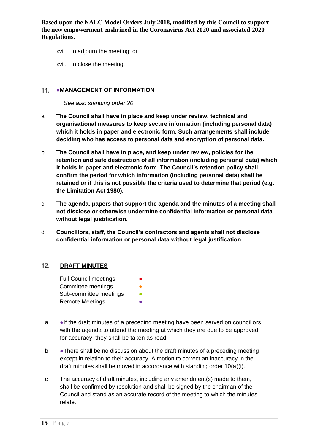- xvi. to adjourn the meeting; or
- xvii. to close the meeting.

#### <span id="page-14-0"></span>11. • MANAGEMENT OF INFORMATION

*See also standing order 20.*

- a **The Council shall have in place and keep under review, technical and organisational measures to keep secure information (including personal data) which it holds in paper and electronic form. Such arrangements shall include deciding who has access to personal data and encryption of personal data.**
- b **The Council shall have in place, and keep under review, policies for the retention and safe destruction of all information (including personal data) which it holds in paper and electronic form. The Council's retention policy shall confirm the period for which information (including personal data) shall be retained or if this is not possible the criteria used to determine that period (e.g. the Limitation Act 1980).**
- c **The agenda, papers that support the agenda and the minutes of a meeting shall not disclose or otherwise undermine confidential information or personal data without legal justification.**
- d **Councillors, staff, the Council's contractors and agents shall not disclose confidential information or personal data without legal justification.**

#### <span id="page-14-1"></span> $12.$ **DRAFT MINUTES**

- Full Council meetings Committee meetings **•** Sub-committee meetings **•** Remote Meetings **●**
- a ●If the draft minutes of a preceding meeting have been served on councillors with the agenda to attend the meeting at which they are due to be approved for accuracy, they shall be taken as read.
- b •There shall be no discussion about the draft minutes of a preceding meeting except in relation to their accuracy. A motion to correct an inaccuracy in the draft minutes shall be moved in accordance with standing order 10(a)(i).
- c The accuracy of draft minutes, including any amendment(s) made to them, shall be confirmed by resolution and shall be signed by the chairman of the Council and stand as an accurate record of the meeting to which the minutes relate.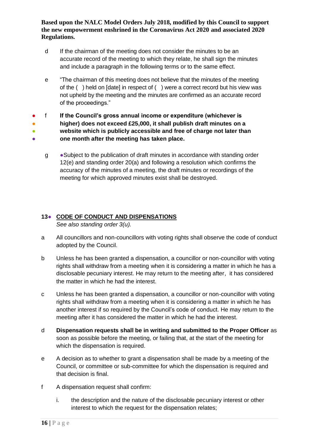- d If the chairman of the meeting does not consider the minutes to be an accurate record of the meeting to which they relate, he shall sign the minutes and include a paragraph in the following terms or to the same effect.
- e "The chairman of this meeting does not believe that the minutes of the meeting of the ( ) held on [date] in respect of ( ) were a correct record but his view was not upheld by the meeting and the minutes are confirmed as an accurate record of the proceedings."
- ● ● 。<br>一 f **If the Council's gross annual income or expenditure (whichever is higher) does not exceed £25,000, it shall publish draft minutes on a website which is publicly accessible and free of charge not later than one month after the meeting has taken place.**
	- g Subject to the publication of draft minutes in accordance with standing order 12(e) and standing order 20(a) and following a resolution which confirms the accuracy of the minutes of a meeting, the draft minutes or recordings of the meeting for which approved minutes exist shall be destroyed.

# <span id="page-15-0"></span>**13**● **CODE OF CONDUCT AND DISPENSATIONS**

*See also standing order 3(u).*

- a All councillors and non-councillors with voting rights shall observe the code of conduct adopted by the Council.
- b Unless he has been granted a dispensation, a councillor or non-councillor with voting rights shall withdraw from a meeting when it is considering a matter in which he has a disclosable pecuniary interest. He may return to the meeting after, it has considered the matter in which he had the interest.
- c Unless he has been granted a dispensation, a councillor or non-councillor with voting rights shall withdraw from a meeting when it is considering a matter in which he has another interest if so required by the Council's code of conduct. He may return to the meeting after it has considered the matter in which he had the interest.
- d **Dispensation requests shall be in writing and submitted to the Proper Officer** as soon as possible before the meeting, or failing that, at the start of the meeting for which the dispensation is required.
- e A decision as to whether to grant a dispensation shall be made by a meeting of the Council, or committee or sub-committee for which the dispensation is required and that decision is final.
- f A dispensation request shall confirm:
	- i. the description and the nature of the disclosable pecuniary interest or other interest to which the request for the dispensation relates;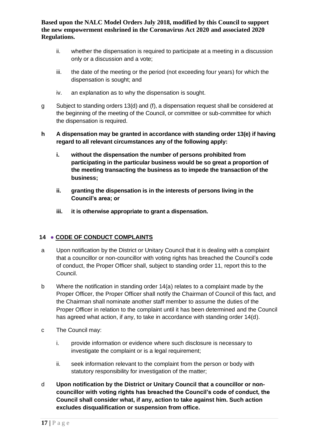- ii. whether the dispensation is required to participate at a meeting in a discussion only or a discussion and a vote;
- iii. the date of the meeting or the period (not exceeding four years) for which the dispensation is sought; and
- iv. an explanation as to why the dispensation is sought.
- g Subject to standing orders 13(d) and (f), a dispensation request shall be considered at the beginning of the meeting of the Council, or committee or sub-committee for which the dispensation is required.
- **h A dispensation may be granted in accordance with standing order 13(e) if having regard to all relevant circumstances any of the following apply:**
	- **i. without the dispensation the number of persons prohibited from participating in the particular business would be so great a proportion of the meeting transacting the business as to impede the transaction of the business;**
	- **ii. granting the dispensation is in the interests of persons living in the Council's area; or**
	- **iii. it is otherwise appropriate to grant a dispensation.**

## <span id="page-16-0"></span>**14** ● **CODE OF CONDUCT COMPLAINTS**

- a Upon notification by the District or Unitary Council that it is dealing with a complaint that a councillor or non-councillor with voting rights has breached the Council's code of conduct, the Proper Officer shall, subject to standing order 11, report this to the Council.
- b Where the notification in standing order 14(a) relates to a complaint made by the Proper Officer, the Proper Officer shall notify the Chairman of Council of this fact, and the Chairman shall nominate another staff member to assume the duties of the Proper Officer in relation to the complaint until it has been determined and the Council has agreed what action, if any, to take in accordance with standing order 14(d).
- c The Council may:
	- i. provide information or evidence where such disclosure is necessary to investigate the complaint or is a legal requirement;
	- ii. seek information relevant to the complaint from the person or body with statutory responsibility for investigation of the matter;
- d **Upon notification by the District or Unitary Council that a councillor or noncouncillor with voting rights has breached the Council's code of conduct, the Council shall consider what, if any, action to take against him. Such action excludes disqualification or suspension from office.**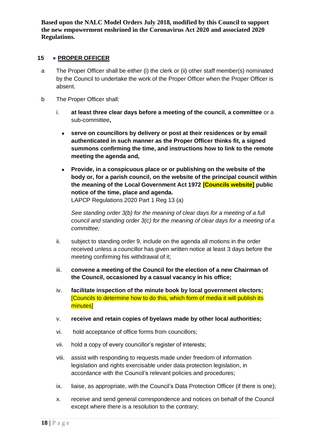## <span id="page-17-0"></span>**15** ● **PROPER OFFICER**

- a The Proper Officer shall be either (i) the clerk or (ii) other staff member(s) nominated by the Council to undertake the work of the Proper Officer when the Proper Officer is absent.
- b The Proper Officer shall:
	- i. **at least three clear days before a meeting of the council, a committee** or a sub-committee**,**
		- **serve on councillors by delivery or post at their residences or by email authenticated in such manner as the Proper Officer thinks fit, a signed summons confirming the time, and instructions how to link to the remote meeting the agenda and,**
		- **Provide, in a conspicuous place or or publishing on the website of the body or, for a parish council, on the website of the principal council within the meaning of the Local Government Act 1972 [Councils website] public notice of the time, place and agenda.** LAPCP Regulations 2020 Part 1 Reg 13 (a)

*See standing order 3(b) for the meaning of clear days for a meeting of a full council and standing order 3(c) for the meaning of clear days for a meeting of a committee;*

- ii. subject to standing order 9, include on the agenda all motions in the order received unless a councillor has given written notice at least 3 days before the meeting confirming his withdrawal of it;
- iii. **convene a meeting of the Council for the election of a new Chairman of the Council, occasioned by a casual vacancy in his office;**
- iv. **facilitate inspection of the minute book by local government electors;** [Councils to determine how to do this, which form of media it will publish its minutes]
- v. **receive and retain copies of byelaws made by other local authorities;**
- vi. hold acceptance of office forms from councillors;
- vii. hold a copy of every councillor's register of interests;
- viii. assist with responding to requests made under freedom of information legislation and rights exercisable under data protection legislation, in accordance with the Council's relevant policies and procedures;
- ix. liaise, as appropriate, with the Council's Data Protection Officer (if there is one);
- x. receive and send general correspondence and notices on behalf of the Council except where there is a resolution to the contrary;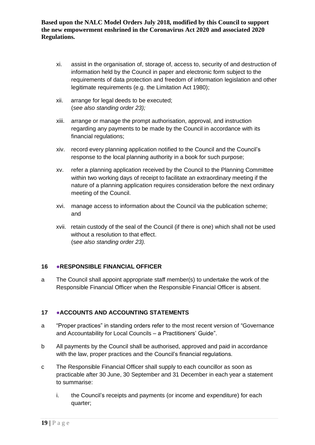- xi. assist in the organisation of, storage of, access to, security of and destruction of information held by the Council in paper and electronic form subject to the requirements of data protection and freedom of information legislation and other legitimate requirements (e.g. the Limitation Act 1980);
- xii. arrange for legal deeds to be executed; (*see also standing order 23);*
- xiii. arrange or manage the prompt authorisation, approval, and instruction regarding any payments to be made by the Council in accordance with its financial regulations;
- xiv. record every planning application notified to the Council and the Council's response to the local planning authority in a book for such purpose;
- xv. refer a planning application received by the Council to the Planning Committee within two working days of receipt to facilitate an extraordinary meeting if the nature of a planning application requires consideration before the next ordinary meeting of the Council.
- xvi. manage access to information about the Council via the publication scheme; and
- xvii. retain custody of the seal of the Council (if there is one) which shall not be used without a resolution to that effect. (s*ee also standing order 23).*

## <span id="page-18-0"></span>**16** ●**RESPONSIBLE FINANCIAL OFFICER**

a The Council shall appoint appropriate staff member(s) to undertake the work of the Responsible Financial Officer when the Responsible Financial Officer is absent.

## <span id="page-18-1"></span>**17** ●**ACCOUNTS AND ACCOUNTING STATEMENTS**

- a "Proper practices" in standing orders refer to the most recent version of "Governance and Accountability for Local Councils – a Practitioners' Guide".
- b All payments by the Council shall be authorised, approved and paid in accordance with the law, proper practices and the Council's financial regulations.
- c The Responsible Financial Officer shall supply to each councillor as soon as practicable after 30 June, 30 September and 31 December in each year a statement to summarise:
	- i. the Council's receipts and payments (or income and expenditure) for each quarter;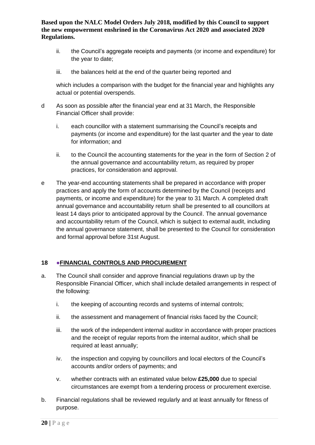- ii. the Council's aggregate receipts and payments (or income and expenditure) for the year to date;
- iii. the balances held at the end of the quarter being reported and

which includes a comparison with the budget for the financial year and highlights any actual or potential overspends.

- d As soon as possible after the financial year end at 31 March, the Responsible Financial Officer shall provide:
	- i. each councillor with a statement summarising the Council's receipts and payments (or income and expenditure) for the last quarter and the year to date for information; and
	- ii. to the Council the accounting statements for the year in the form of Section 2 of the annual governance and accountability return, as required by proper practices, for consideration and approval.
- e The year-end accounting statements shall be prepared in accordance with proper practices and apply the form of accounts determined by the Council (receipts and payments, or income and expenditure) for the year to 31 March. A completed draft annual governance and accountability return shall be presented to all councillors at least 14 days prior to anticipated approval by the Council. The annual governance and accountability return of the Council, which is subject to external audit, including the annual governance statement, shall be presented to the Council for consideration and formal approval before 31st August.

## <span id="page-19-0"></span>**18 ●FINANCIAL CONTROLS AND PROCUREMENT**

- a. The Council shall consider and approve financial regulations drawn up by the Responsible Financial Officer, which shall include detailed arrangements in respect of the following:
	- i. the keeping of accounting records and systems of internal controls;
	- ii. the assessment and management of financial risks faced by the Council;
	- iii. the work of the independent internal auditor in accordance with proper practices and the receipt of regular reports from the internal auditor, which shall be required at least annually;
	- iv. the inspection and copying by councillors and local electors of the Council's accounts and/or orders of payments; and
	- v. whether contracts with an estimated value below **£25,000** due to special circumstances are exempt from a tendering process or procurement exercise.
- b. Financial regulations shall be reviewed regularly and at least annually for fitness of purpose.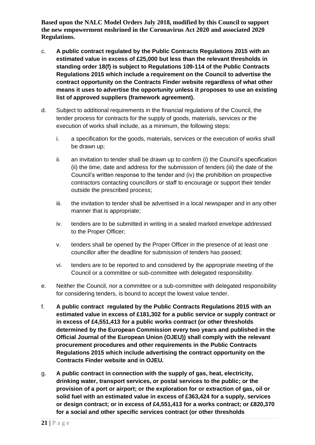- c. **A public contract regulated by the Public Contracts Regulations 2015 with an estimated value in excess of £25,000 but less than the relevant thresholds in standing order 18(f) is subject to Regulations 109-114 of the Public Contracts Regulations 2015 which include a requirement on the Council to advertise the contract opportunity on the Contracts Finder website regardless of what other means it uses to advertise the opportunity unless it proposes to use an existing list of approved suppliers (framework agreement).**
- d. Subject to additional requirements in the financial regulations of the Council, the tender process for contracts for the supply of goods, materials, services or the execution of works shall include, as a minimum, the following steps:
	- i. a specification for the goods, materials, services or the execution of works shall be drawn up;
	- ii. an invitation to tender shall be drawn up to confirm (i) the Council's specification (ii) the time, date and address for the submission of tenders (iii) the date of the Council's written response to the tender and (iv) the prohibition on prospective contractors contacting councillors or staff to encourage or support their tender outside the prescribed process;
	- iii. the invitation to tender shall be advertised in a local newspaper and in any other manner that is appropriate;
	- iv. tenders are to be submitted in writing in a sealed marked envelope addressed to the Proper Officer;
	- v. tenders shall be opened by the Proper Officer in the presence of at least one councillor after the deadline for submission of tenders has passed;
	- vi. tenders are to be reported to and considered by the appropriate meeting of the Council or a committee or sub-committee with delegated responsibility.
- e. Neither the Council, nor a committee or a sub-committee with delegated responsibility for considering tenders, is bound to accept the lowest value tender.
- f. **A public contract regulated by the Public Contracts Regulations 2015 with an estimated value in excess of £181,302 for a public service or supply contract or in excess of £4,551,413 for a public works contract (or other thresholds determined by the European Commission every two years and published in the Official Journal of the European Union (OJEU)) shall comply with the relevant procurement procedures and other requirements in the Public Contracts Regulations 2015 which include advertising the contract opportunity on the Contracts Finder website and in OJEU.**
- g. **A public contract in connection with the supply of gas, heat, electricity, drinking water, transport services, or postal services to the public; or the provision of a port or airport; or the exploration for or extraction of gas, oil or solid fuel with an estimated value in excess of £363,424 for a supply, services or design contract; or in excess of £4,551,413 for a works contract; or £820,370 for a social and other specific services contract (or other thresholds**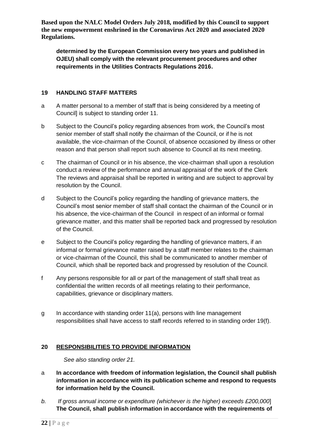**determined by the European Commission every two years and published in OJEU) shall comply with the relevant procurement procedures and other requirements in the Utilities Contracts Regulations 2016.**

#### <span id="page-21-0"></span>**19 HANDLING STAFF MATTERS**

- a A matter personal to a member of staff that is being considered by a meeting of Council] is subject to standing order 11.
- b Subject to the Council's policy regarding absences from work, the Council's most senior member of staff shall notify the chairman of the Council, or if he is not available, the vice-chairman of the Council, of absence occasioned by illness or other reason and that person shall report such absence to Council at its next meeting.
- c The chairman of Council or in his absence, the vice-chairman shall upon a resolution conduct a review of the performance and annual appraisal of the work of the Clerk The reviews and appraisal shall be reported in writing and are subject to approval by resolution by the Council.
- d Subject to the Council's policy regarding the handling of grievance matters, the Council's most senior member of staff shall contact the chairman of the Council or in his absence, the vice-chairman of the Council in respect of an informal or formal grievance matter, and this matter shall be reported back and progressed by resolution of the Council.
- e Subject to the Council's policy regarding the handling of grievance matters, if an informal or formal grievance matter raised by a staff member relates to the chairman or vice-chairman of the Council, this shall be communicated to another member of Council, which shall be reported back and progressed by resolution of the Council.
- f Any persons responsible for all or part of the management of staff shall treat as confidential the written records of all meetings relating to their performance, capabilities, grievance or disciplinary matters.
- g In accordance with standing order 11(a), persons with line management responsibilities shall have access to staff records referred to in standing order 19(f).

## <span id="page-21-1"></span>**20 RESPONSIBILITIES TO PROVIDE INFORMATION**

*See also standing order 21.*

- a **In accordance with freedom of information legislation, the Council shall publish information in accordance with its publication scheme and respond to requests for information held by the Council.**
- *b. If gross annual income or expenditure (whichever is the higher) exceeds £200,000*] **The Council, shall publish information in accordance with the requirements of**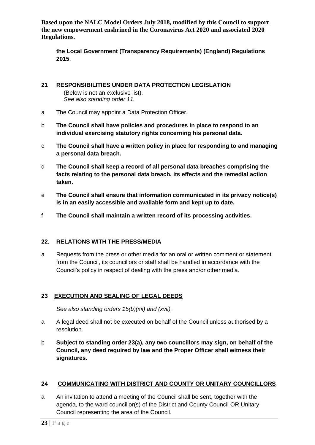**the Local Government (Transparency Requirements) (England) Regulations 2015**.

- <span id="page-22-0"></span>**21 RESPONSIBILITIES UNDER DATA PROTECTION LEGISLATION**  (Below is not an exclusive list). *See also standing order 11.*
- a The Council may appoint a Data Protection Officer.
- b **The Council shall have policies and procedures in place to respond to an individual exercising statutory rights concerning his personal data.**
- c **The Council shall have a written policy in place for responding to and managing a personal data breach.**
- d **The Council shall keep a record of all personal data breaches comprising the facts relating to the personal data breach, its effects and the remedial action taken.**
- e **The Council shall ensure that information communicated in its privacy notice(s) is in an easily accessible and available form and kept up to date.**
- f **The Council shall maintain a written record of its processing activities.**

## <span id="page-22-1"></span>**22. RELATIONS WITH THE PRESS/MEDIA**

a Requests from the press or other media for an oral or written comment or statement from the Council, its councillors or staff shall be handled in accordance with the Council's policy in respect of dealing with the press and/or other media.

## <span id="page-22-2"></span>**23 EXECUTION AND SEALING OF LEGAL DEEDS**

*See also standing orders 15(b)(xii) and (xvii).*

- a A legal deed shall not be executed on behalf of the Council unless authorised by a resolution.
- <span id="page-22-3"></span>b **Subject to standing order 23(a), any two councillors may sign, on behalf of the Council, any deed required by law and the Proper Officer shall witness their signatures.**

## **24 COMMUNICATING WITH DISTRICT AND COUNTY OR UNITARY COUNCILLORS**

a An invitation to attend a meeting of the Council shall be sent, together with the agenda, to the ward councillor(s) of the District and County Council OR Unitary Council representing the area of the Council.